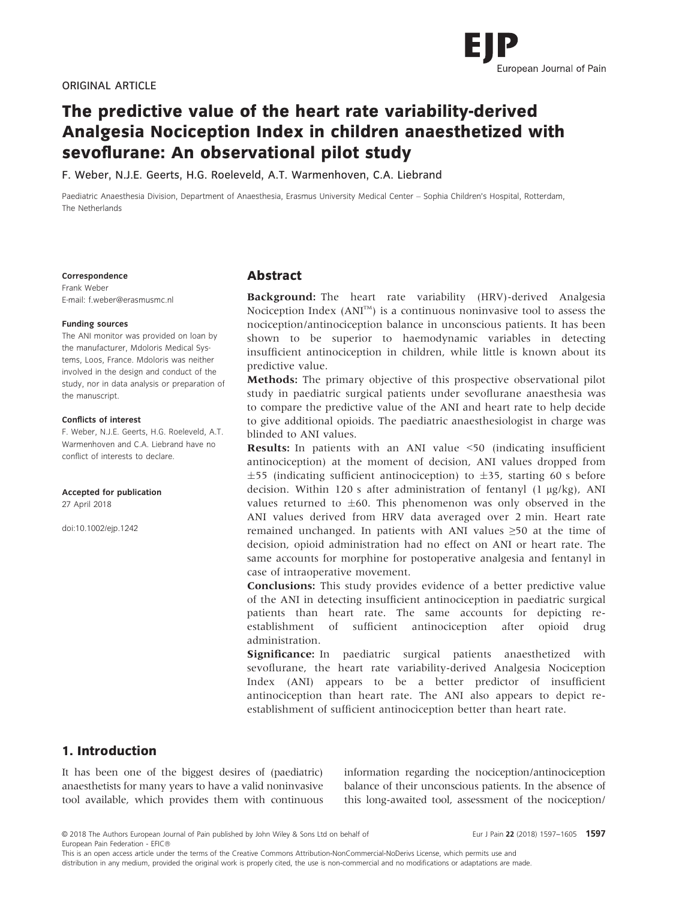

# The predictive value of the heart rate variability-derived Analgesia Nociception Index in children anaesthetized with sevoflurane: An observational pilot study

F. Weber, N.J.E. Geerts, H.G. Roeleveld, A.T. Warmenhoven, C.A. Liebrand

Paediatric Anaesthesia Division, Department of Anaesthesia, Erasmus University Medical Center – Sophia Children's Hospital, Rotterdam, The Netherlands

#### Correspondence

Frank Weber E-mail: f.weber@erasmusmc.nl

#### Funding sources

The ANI monitor was provided on loan by the manufacturer, Mdoloris Medical Systems, Loos, France. Mdoloris was neither involved in the design and conduct of the study, nor in data analysis or preparation of the manuscript.

#### Conflicts of interest

F. Weber, N.J.E. Geerts, H.G. Roeleveld, A.T. Warmenhoven and C.A. Liebrand have no conflict of interests to declare.

#### Accepted for publication

27 April 2018

doi:10.1002/ejp.1242

## Abstract

Background: The heart rate variability (HRV)-derived Analgesia Nociception Index  $(ANI<sup>TM</sup>)$  is a continuous noninvasive tool to assess the nociception/antinociception balance in unconscious patients. It has been shown to be superior to haemodynamic variables in detecting insufficient antinociception in children, while little is known about its predictive value.

Methods: The primary objective of this prospective observational pilot study in paediatric surgical patients under sevoflurane anaesthesia was to compare the predictive value of the ANI and heart rate to help decide to give additional opioids. The paediatric anaesthesiologist in charge was blinded to ANI values.

Results: In patients with an ANI value <50 (indicating insufficient antinociception) at the moment of decision, ANI values dropped from  $\pm$ 55 (indicating sufficient antinociception) to  $\pm$ 35, starting 60 s before decision. Within 120 s after administration of fentanyl (1 µg/kg), ANI values returned to  $\pm 60$ . This phenomenon was only observed in the ANI values derived from HRV data averaged over 2 min. Heart rate remained unchanged. In patients with ANI values ≥50 at the time of decision, opioid administration had no effect on ANI or heart rate. The same accounts for morphine for postoperative analgesia and fentanyl in case of intraoperative movement.

Conclusions: This study provides evidence of a better predictive value of the ANI in detecting insufficient antinociception in paediatric surgical patients than heart rate. The same accounts for depicting reestablishment of sufficient antinociception after opioid drug administration.

Significance: In paediatric surgical patients anaesthetized with sevoflurane, the heart rate variability-derived Analgesia Nociception Index (ANI) appears to be a better predictor of insufficient antinociception than heart rate. The ANI also appears to depict reestablishment of sufficient antinociception better than heart rate.

# 1. Introduction

It has been one of the biggest desires of (paediatric) anaesthetists for many years to have a valid noninvasive tool available, which provides them with continuous information regarding the nociception/antinociception balance of their unconscious patients. In the absence of this long-awaited tool, assessment of the nociception/

© 2018 The Authors European Journal of Pain published by John Wiley & Sons Ltd on behalf of Eur J Pain 22 (2018) 1597-1605 1597 European Pain Federation - EFIC

This is an open access article under the terms of the [Creative Commons Attribution-NonCommercial-NoDerivs](http://creativecommons.org/licenses/by-nc-nd/4.0/) License, which permits use and distribution in any medium, provided the original work is properly cited, the use is non-commercial and no modifications or adaptations are made.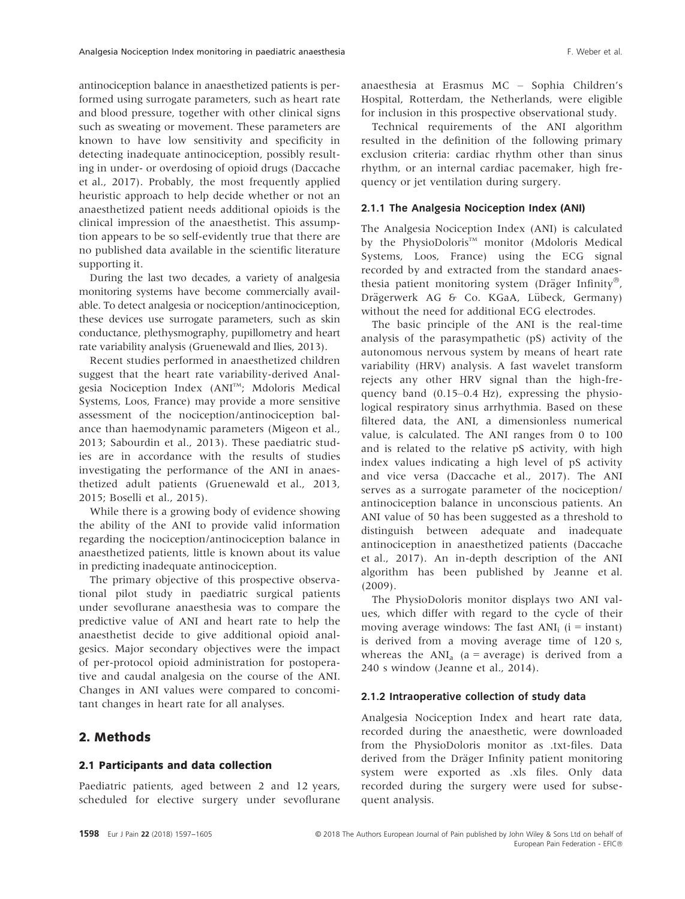antinociception balance in anaesthetized patients is performed using surrogate parameters, such as heart rate and blood pressure, together with other clinical signs such as sweating or movement. These parameters are known to have low sensitivity and specificity in detecting inadequate antinociception, possibly resulting in under- or overdosing of opioid drugs (Daccache et al., 2017). Probably, the most frequently applied heuristic approach to help decide whether or not an anaesthetized patient needs additional opioids is the clinical impression of the anaesthetist. This assumption appears to be so self-evidently true that there are no published data available in the scientific literature supporting it.

During the last two decades, a variety of analgesia monitoring systems have become commercially available. To detect analgesia or nociception/antinociception, these devices use surrogate parameters, such as skin conductance, plethysmography, pupillometry and heart rate variability analysis (Gruenewald and Ilies, 2013).

Recent studies performed in anaesthetized children suggest that the heart rate variability-derived Analgesia Nociception Index (ANI™; Mdoloris Medical Systems, Loos, France) may provide a more sensitive assessment of the nociception/antinociception balance than haemodynamic parameters (Migeon et al., 2013; Sabourdin et al., 2013). These paediatric studies are in accordance with the results of studies investigating the performance of the ANI in anaesthetized adult patients (Gruenewald et al., 2013, 2015; Boselli et al., 2015).

While there is a growing body of evidence showing the ability of the ANI to provide valid information regarding the nociception/antinociception balance in anaesthetized patients, little is known about its value in predicting inadequate antinociception.

The primary objective of this prospective observational pilot study in paediatric surgical patients under sevoflurane anaesthesia was to compare the predictive value of ANI and heart rate to help the anaesthetist decide to give additional opioid analgesics. Major secondary objectives were the impact of per-protocol opioid administration for postoperative and caudal analgesia on the course of the ANI. Changes in ANI values were compared to concomitant changes in heart rate for all analyses.

## 2. Methods

#### 2.1 Participants and data collection

Paediatric patients, aged between 2 and 12 years, scheduled for elective surgery under sevoflurane anaesthesia at Erasmus MC – Sophia Children's Hospital, Rotterdam, the Netherlands, were eligible for inclusion in this prospective observational study.

Technical requirements of the ANI algorithm resulted in the definition of the following primary exclusion criteria: cardiac rhythm other than sinus rhythm, or an internal cardiac pacemaker, high frequency or jet ventilation during surgery.

#### 2.1.1 The Analgesia Nociception Index (ANI)

The Analgesia Nociception Index (ANI) is calculated by the PhysioDoloris™ monitor (Mdoloris Medical Systems, Loos, France) using the ECG signal recorded by and extracted from the standard anaesthesia patient monitoring system (Dräger Infinity<sup>®</sup>, Drägerwerk AG & Co. KGaA, Lübeck, Germany) without the need for additional ECG electrodes.

The basic principle of the ANI is the real-time analysis of the parasympathetic (pS) activity of the autonomous nervous system by means of heart rate variability (HRV) analysis. A fast wavelet transform rejects any other HRV signal than the high-frequency band (0.15–0.4 Hz), expressing the physiological respiratory sinus arrhythmia. Based on these filtered data, the ANI, a dimensionless numerical value, is calculated. The ANI ranges from 0 to 100 and is related to the relative pS activity, with high index values indicating a high level of pS activity and vice versa (Daccache et al., 2017). The ANI serves as a surrogate parameter of the nociception/ antinociception balance in unconscious patients. An ANI value of 50 has been suggested as a threshold to distinguish between adequate and inadequate antinociception in anaesthetized patients (Daccache et al., 2017). An in-depth description of the ANI algorithm has been published by Jeanne et al. (2009).

The PhysioDoloris monitor displays two ANI values, which differ with regard to the cycle of their moving average windows: The fast  $ANI_i$  (i = instant) is derived from a moving average time of 120 s, whereas the  $ANI_a$  (a = average) is derived from a 240 s window (Jeanne et al., 2014).

#### 2.1.2 Intraoperative collection of study data

Analgesia Nociception Index and heart rate data, recorded during the anaesthetic, were downloaded from the PhysioDoloris monitor as .txt-files. Data derived from the Dräger Infinity patient monitoring system were exported as .xls files. Only data recorded during the surgery were used for subsequent analysis.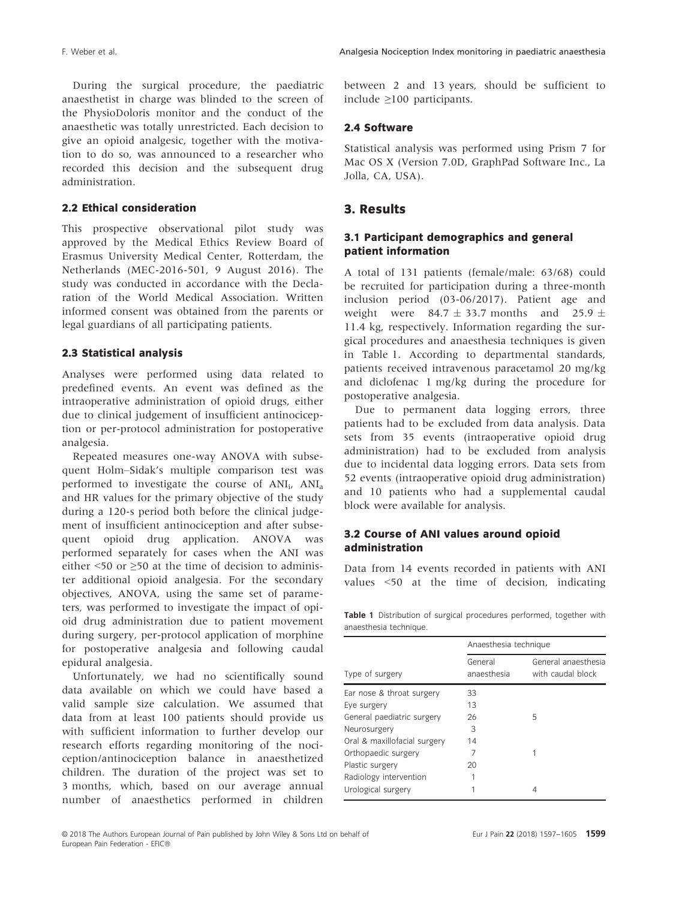During the surgical procedure, the paediatric anaesthetist in charge was blinded to the screen of the PhysioDoloris monitor and the conduct of the anaesthetic was totally unrestricted. Each decision to give an opioid analgesic, together with the motivation to do so, was announced to a researcher who recorded this decision and the subsequent drug administration.

## 2.2 Ethical consideration

This prospective observational pilot study was approved by the Medical Ethics Review Board of Erasmus University Medical Center, Rotterdam, the Netherlands (MEC-2016-501, 9 August 2016). The study was conducted in accordance with the Declaration of the World Medical Association. Written informed consent was obtained from the parents or legal guardians of all participating patients.

#### 2.3 Statistical analysis

Analyses were performed using data related to predefined events. An event was defined as the intraoperative administration of opioid drugs, either due to clinical judgement of insufficient antinociception or per-protocol administration for postoperative analgesia.

Repeated measures one-way ANOVA with subsequent Holm–Sidak's multiple comparison test was performed to investigate the course of  $ANI_i$ ,  $ANI_a$ and HR values for the primary objective of the study during a 120-s period both before the clinical judgement of insufficient antinociception and after subsequent opioid drug application. ANOVA was performed separately for cases when the ANI was either  $\leq$  50 or  $\geq$  50 at the time of decision to administer additional opioid analgesia. For the secondary objectives, ANOVA, using the same set of parameters, was performed to investigate the impact of opioid drug administration due to patient movement during surgery, per-protocol application of morphine for postoperative analgesia and following caudal epidural analgesia.

Unfortunately, we had no scientifically sound data available on which we could have based a valid sample size calculation. We assumed that data from at least 100 patients should provide us with sufficient information to further develop our research efforts regarding monitoring of the nociception/antinociception balance in anaesthetized children. The duration of the project was set to 3 months, which, based on our average annual number of anaesthetics performed in children between 2 and 13 years, should be sufficient to include ≥100 participants.

#### 2.4 Software

Statistical analysis was performed using Prism 7 for Mac OS X (Version 7.0D, GraphPad Software Inc., La Jolla, CA, USA).

## 3. Results

## 3.1 Participant demographics and general patient information

A total of 131 patients (female/male: 63/68) could be recruited for participation during a three-month inclusion period (03-06/2017). Patient age and weight were  $84.7 \pm 33.7$  months and  $25.9 \pm$ 11.4 kg, respectively. Information regarding the surgical procedures and anaesthesia techniques is given in Table 1. According to departmental standards, patients received intravenous paracetamol 20 mg/kg and diclofenac 1 mg/kg during the procedure for postoperative analgesia.

Due to permanent data logging errors, three patients had to be excluded from data analysis. Data sets from 35 events (intraoperative opioid drug administration) had to be excluded from analysis due to incidental data logging errors. Data sets from 52 events (intraoperative opioid drug administration) and 10 patients who had a supplemental caudal block were available for analysis.

## 3.2 Course of ANI values around opioid administration

Data from 14 events recorded in patients with ANI values <50 at the time of decision, indicating

Table 1 Distribution of surgical procedures performed, together with anaesthesia technique.

| Type of surgery              | Anaesthesia technique  |                                          |
|------------------------------|------------------------|------------------------------------------|
|                              | General<br>anaesthesia | General anaesthesia<br>with caudal block |
| Ear nose & throat surgery    | 33                     |                                          |
| Eye surgery                  | 13                     |                                          |
| General paediatric surgery   | 26                     | 5                                        |
| Neurosurgery                 | 3                      |                                          |
| Oral & maxillofacial surgery | 14                     |                                          |
| Orthopaedic surgery          |                        | 1                                        |
| Plastic surgery              | 20                     |                                          |
| Radiology intervention       |                        |                                          |
| Urological surgery           |                        | 4                                        |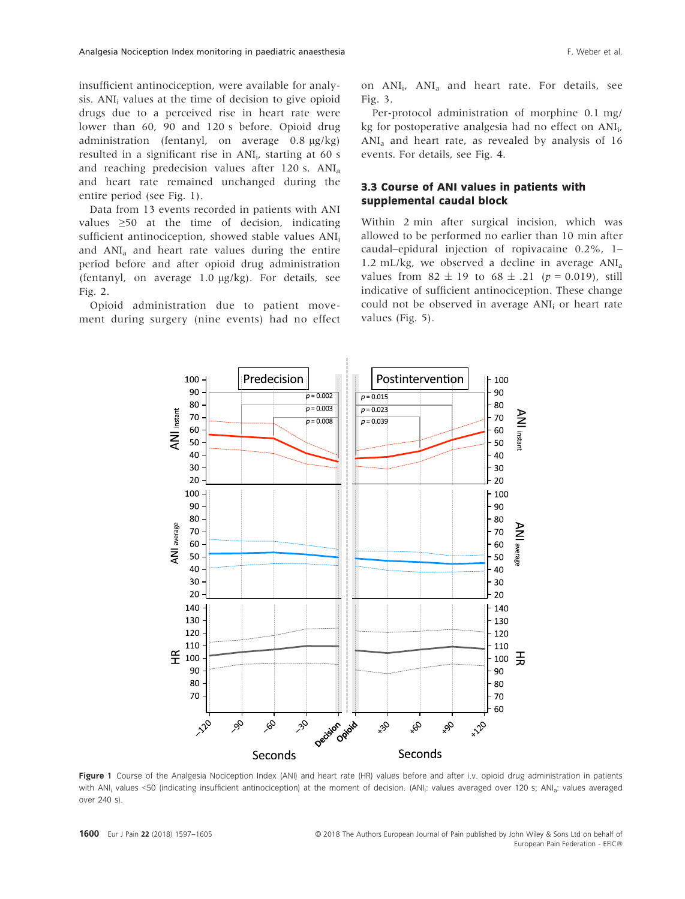insufficient antinociception, were available for analysis. ANI<sub>i</sub> values at the time of decision to give opioid drugs due to a perceived rise in heart rate were lower than 60, 90 and 120 s before. Opioid drug administration (fentanyl, on average  $0.8 \text{ kg/kg}$ ) resulted in a significant rise in ANI<sub>i</sub>, starting at 60 s and reaching predecision values after 120 s. ANI<sub>3</sub> and heart rate remained unchanged during the entire period (see Fig. 1).

Data from 13 events recorded in patients with ANI values ≥50 at the time of decision, indicating sufficient antinociception, showed stable values ANI<sub>i</sub> and  $ANI<sub>a</sub>$  and heart rate values during the entire period before and after opioid drug administration (fentanyl, on average  $1.0 \mu$ g/kg). For details, see Fig. 2.

Opioid administration due to patient movement during surgery (nine events) had no effect on ANI<sub>i</sub>, ANI<sub>a</sub> and heart rate. For details, see Fig. 3.

Per-protocol administration of morphine 0.1 mg/ kg for postoperative analgesia had no effect on ANIi, ANIa and heart rate, as revealed by analysis of 16 events. For details, see Fig. 4.

## 3.3 Course of ANI values in patients with supplemental caudal block

Within 2 min after surgical incision, which was allowed to be performed no earlier than 10 min after caudal–epidural injection of ropivacaine 0.2%, 1– 1.2 mL/kg, we observed a decline in average  $ANI_a$ values from  $82 \pm 19$  to  $68 \pm .21$  ( $p = 0.019$ ), still indicative of sufficient antinociception. These change could not be observed in average ANI<sub>i</sub> or heart rate values (Fig. 5).



Figure 1 Course of the Analgesia Nociception Index (ANI) and heart rate (HR) values before and after i.v. opioid drug administration in patients with ANI<sub>i</sub> values <50 (indicating insufficient antinociception) at the moment of decision. (ANI<sub>i</sub>: values averaged over 120 s; ANI<sub>a</sub>: values averaged over 240 s).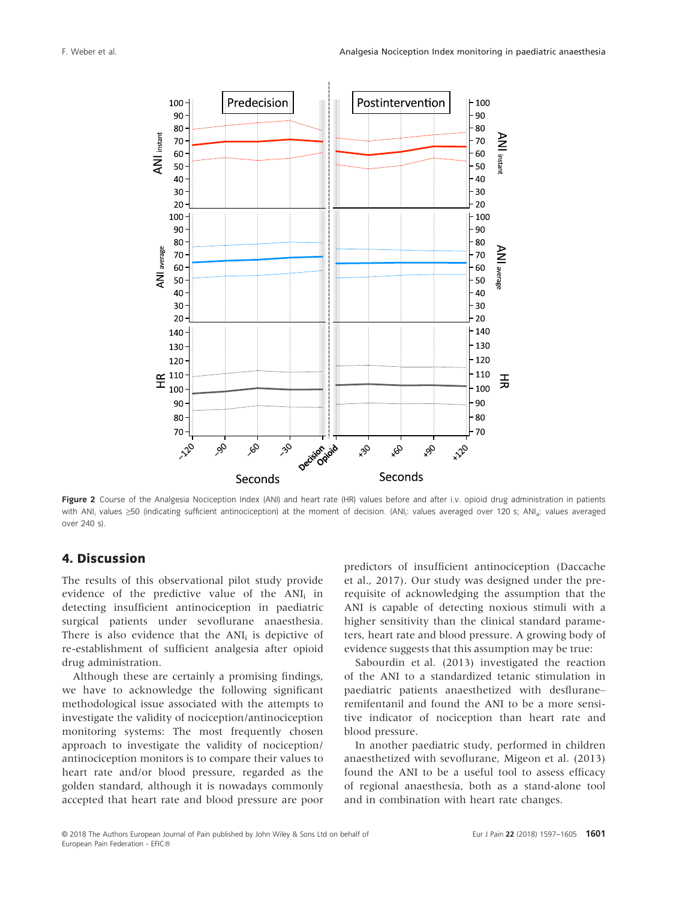

Figure 2 Course of the Analgesia Nociception Index (ANI) and heart rate (HR) values before and after i.v. opioid drug administration in patients with ANI<sub>i</sub> values ≥50 (indicating sufficient antinociception) at the moment of decision. (ANI<sub>i</sub>: values averayed over 120 s; ANI<sub>a</sub>: values averaged over 240 s).

## 4. Discussion

The results of this observational pilot study provide evidence of the predictive value of the ANI<sub>i</sub> in detecting insufficient antinociception in paediatric surgical patients under sevoflurane anaesthesia. There is also evidence that the  $ANI_i$  is depictive of re-establishment of sufficient analgesia after opioid drug administration.

Although these are certainly a promising findings, we have to acknowledge the following significant methodological issue associated with the attempts to investigate the validity of nociception/antinociception monitoring systems: The most frequently chosen approach to investigate the validity of nociception/ antinociception monitors is to compare their values to heart rate and/or blood pressure, regarded as the golden standard, although it is nowadays commonly accepted that heart rate and blood pressure are poor predictors of insufficient antinociception (Daccache et al., 2017). Our study was designed under the prerequisite of acknowledging the assumption that the ANI is capable of detecting noxious stimuli with a higher sensitivity than the clinical standard parameters, heart rate and blood pressure. A growing body of evidence suggests that this assumption may be true:

Sabourdin et al. (2013) investigated the reaction of the ANI to a standardized tetanic stimulation in paediatric patients anaesthetized with desflurane– remifentanil and found the ANI to be a more sensitive indicator of nociception than heart rate and blood pressure.

In another paediatric study, performed in children anaesthetized with sevoflurane, Migeon et al. (2013) found the ANI to be a useful tool to assess efficacy of regional anaesthesia, both as a stand-alone tool and in combination with heart rate changes.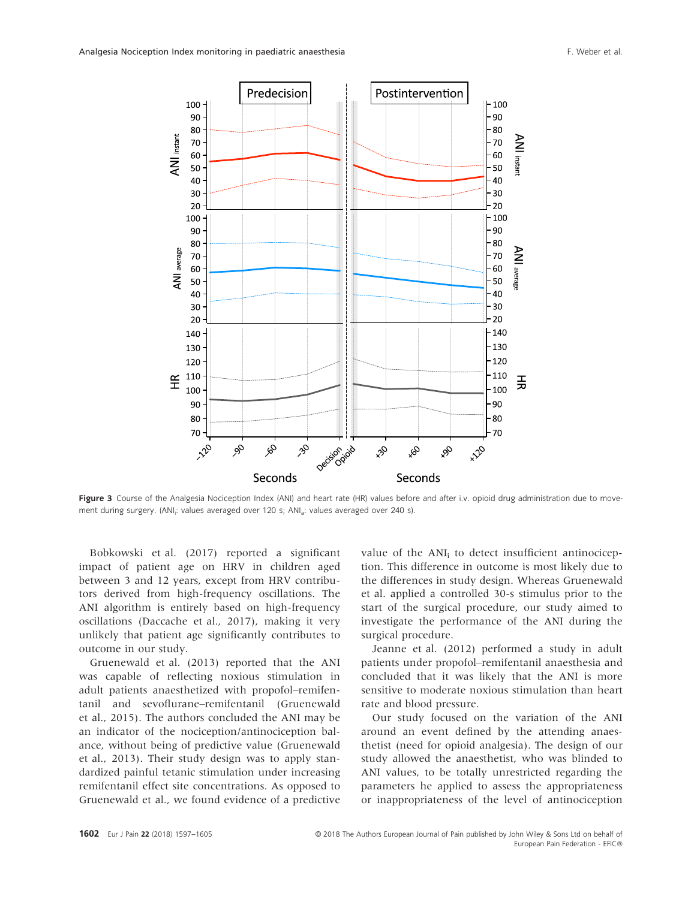

Figure 3 Course of the Analgesia Nociception Index (ANI) and heart rate (HR) values before and after i.v. opioid drug administration due to movement during surgery. (ANI<sub>i</sub>: values averaged over 120 s; ANI<sub>a</sub>: values averaged over 240 s).

Bobkowski et al. (2017) reported a significant impact of patient age on HRV in children aged between 3 and 12 years, except from HRV contributors derived from high-frequency oscillations. The ANI algorithm is entirely based on high-frequency oscillations (Daccache et al., 2017), making it very unlikely that patient age significantly contributes to outcome in our study.

Gruenewald et al. (2013) reported that the ANI was capable of reflecting noxious stimulation in adult patients anaesthetized with propofol–remifentanil and sevoflurane–remifentanil (Gruenewald et al., 2015). The authors concluded the ANI may be an indicator of the nociception/antinociception balance, without being of predictive value (Gruenewald et al., 2013). Their study design was to apply standardized painful tetanic stimulation under increasing remifentanil effect site concentrations. As opposed to Gruenewald et al., we found evidence of a predictive value of the  $ANI_i$  to detect insufficient antinociception. This difference in outcome is most likely due to the differences in study design. Whereas Gruenewald et al. applied a controlled 30-s stimulus prior to the start of the surgical procedure, our study aimed to investigate the performance of the ANI during the surgical procedure.

Jeanne et al. (2012) performed a study in adult patients under propofol–remifentanil anaesthesia and concluded that it was likely that the ANI is more sensitive to moderate noxious stimulation than heart rate and blood pressure.

Our study focused on the variation of the ANI around an event defined by the attending anaesthetist (need for opioid analgesia). The design of our study allowed the anaesthetist, who was blinded to ANI values, to be totally unrestricted regarding the parameters he applied to assess the appropriateness or inappropriateness of the level of antinociception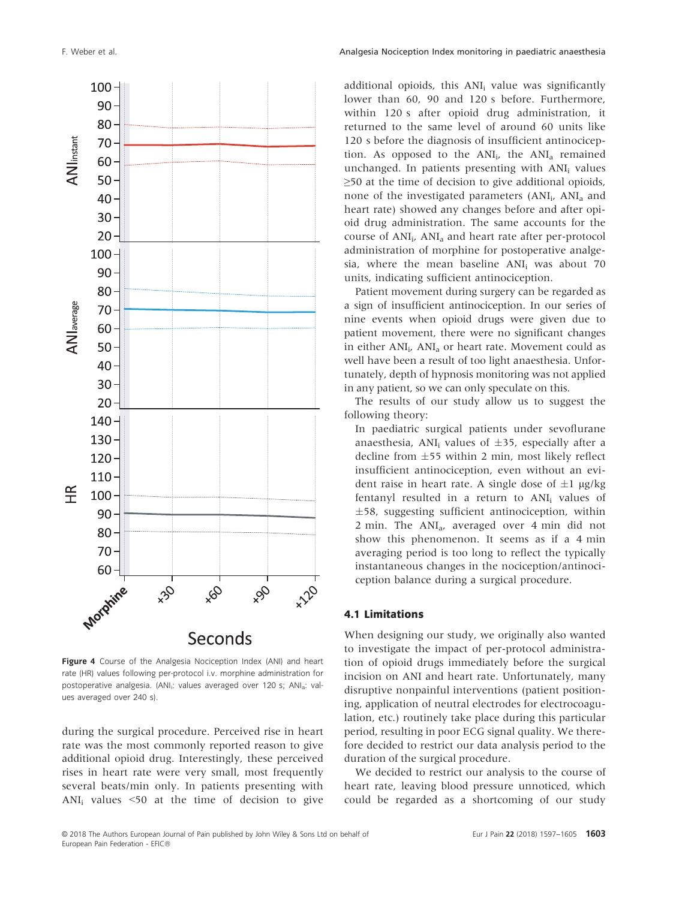

Figure 4 Course of the Analgesia Nociception Index (ANI) and heart rate (HR) values following per-protocol i.v. morphine administration for postoperative analgesia. (ANI<sub>i</sub>: values averaged over 120 s; ANI<sub>a</sub>: values averaged over 240 s).

during the surgical procedure. Perceived rise in heart rate was the most commonly reported reason to give additional opioid drug. Interestingly, these perceived rises in heart rate were very small, most frequently several beats/min only. In patients presenting with ANI<sub>i</sub> values  $\leq$ 50 at the time of decision to give

additional opioids, this ANI<sub>i</sub> value was significantly lower than 60, 90 and 120 s before. Furthermore, within 120 s after opioid drug administration, it returned to the same level of around 60 units like 120 s before the diagnosis of insufficient antinociception. As opposed to the  $ANI_i$ , the  $ANI_a$  remained unchanged. In patients presenting with ANI<sub>i</sub> values  $\geq$ 50 at the time of decision to give additional opioids, none of the investigated parameters (ANI<sub>i</sub>, ANI<sub>a</sub> and heart rate) showed any changes before and after opioid drug administration. The same accounts for the course of  $ANI_i$ ,  $ANI_a$  and heart rate after per-protocol administration of morphine for postoperative analgesia, where the mean baseline  $ANI_i$  was about 70 units, indicating sufficient antinociception.

Patient movement during surgery can be regarded as a sign of insufficient antinociception. In our series of nine events when opioid drugs were given due to patient movement, there were no significant changes in either  $ANI_i$ ,  $ANI_a$  or heart rate. Movement could as well have been a result of too light anaesthesia. Unfortunately, depth of hypnosis monitoring was not applied in any patient, so we can only speculate on this.

The results of our study allow us to suggest the following theory:

In paediatric surgical patients under sevoflurane anaesthesia, ANI<sub>i</sub> values of  $\pm 35$ , especially after a decline from  $\pm$ 55 within 2 min, most likely reflect insufficient antinociception, even without an evident raise in heart rate. A single dose of  $\pm 1$  µg/kg fentanyl resulted in a return to ANI<sub>i</sub> values of  $\pm$ 58, suggesting sufficient antinociception, within 2 min. The ANIa, averaged over 4 min did not show this phenomenon. It seems as if a 4 min averaging period is too long to reflect the typically instantaneous changes in the nociception/antinociception balance during a surgical procedure.

#### 4.1 Limitations

When designing our study, we originally also wanted to investigate the impact of per-protocol administration of opioid drugs immediately before the surgical incision on ANI and heart rate. Unfortunately, many disruptive nonpainful interventions (patient positioning, application of neutral electrodes for electrocoagulation, etc.) routinely take place during this particular period, resulting in poor ECG signal quality. We therefore decided to restrict our data analysis period to the duration of the surgical procedure.

We decided to restrict our analysis to the course of heart rate, leaving blood pressure unnoticed, which could be regarded as a shortcoming of our study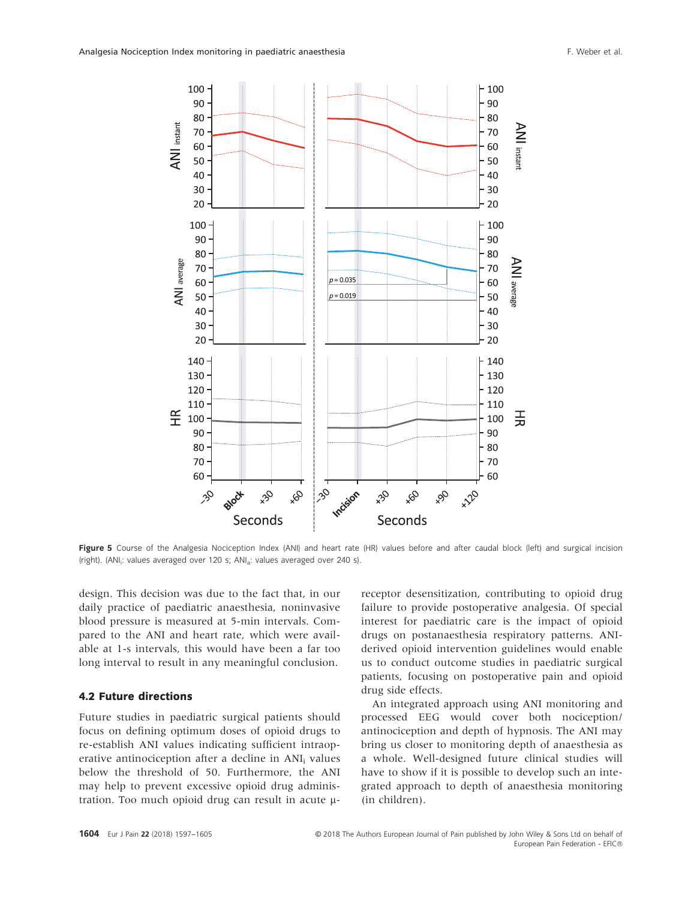

Figure 5 Course of the Analgesia Nociception Index (ANI) and heart rate (HR) values before and after caudal block (left) and surgical incision (right). (ANI<sub>i</sub>: values averaged over 120 s; ANI<sub>a</sub>: values averaged over 240 s).

design. This decision was due to the fact that, in our daily practice of paediatric anaesthesia, noninvasive blood pressure is measured at 5-min intervals. Compared to the ANI and heart rate, which were available at 1-s intervals, this would have been a far too long interval to result in any meaningful conclusion.

#### 4.2 Future directions

Future studies in paediatric surgical patients should focus on defining optimum doses of opioid drugs to re-establish ANI values indicating sufficient intraoperative antinociception after a decline in ANI<sub>i</sub> values below the threshold of 50. Furthermore, the ANI may help to prevent excessive opioid drug administration. Too much opioid drug can result in acute  $\mu$ - receptor desensitization, contributing to opioid drug failure to provide postoperative analgesia. Of special interest for paediatric care is the impact of opioid drugs on postanaesthesia respiratory patterns. ANIderived opioid intervention guidelines would enable us to conduct outcome studies in paediatric surgical patients, focusing on postoperative pain and opioid drug side effects.

An integrated approach using ANI monitoring and processed EEG would cover both nociception/ antinociception and depth of hypnosis. The ANI may bring us closer to monitoring depth of anaesthesia as a whole. Well-designed future clinical studies will have to show if it is possible to develop such an integrated approach to depth of anaesthesia monitoring (in children).